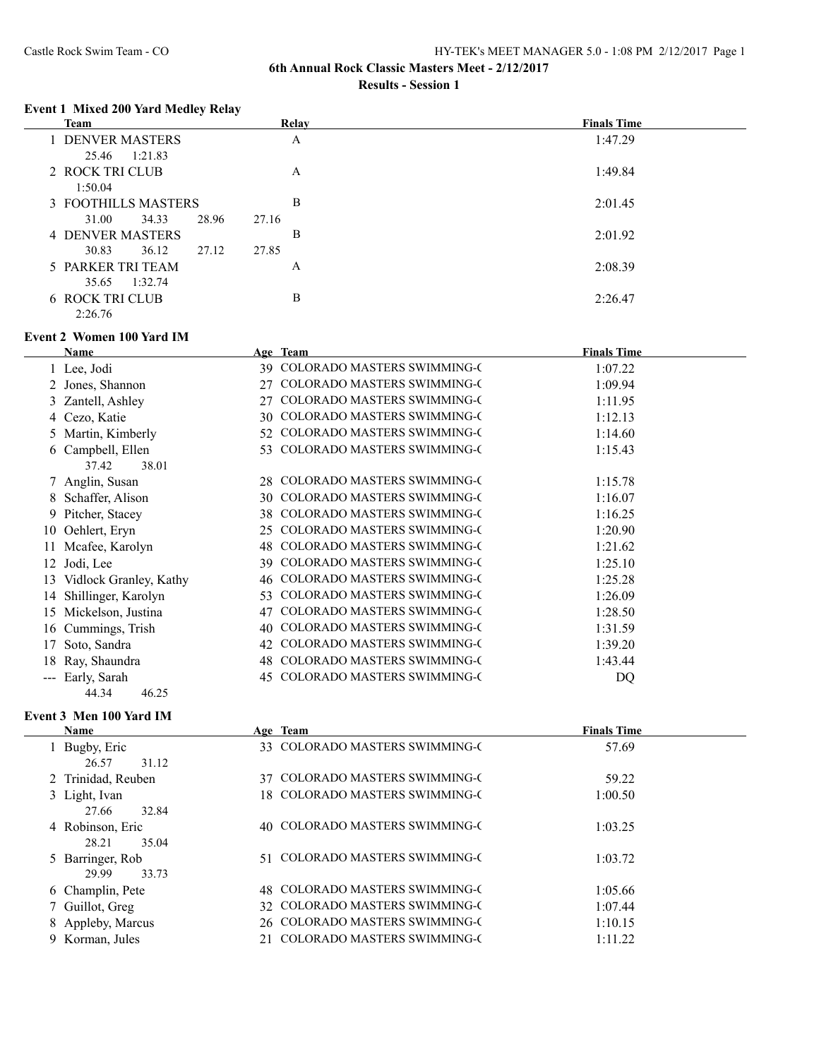#### **Event 1 Mixed 200 Yard Medley Relay**

|       | <b>Team</b>                          | Relay                                                            | <b>Finals Time</b> |
|-------|--------------------------------------|------------------------------------------------------------------|--------------------|
|       | 1 DENVER MASTERS<br>25.46<br>1:21.83 | $\mathbf{A}$                                                     | 1:47.29            |
|       | 2 ROCK TRI CLUB                      | A                                                                | 1:49.84            |
|       | 1:50.04                              |                                                                  |                    |
|       | 3 FOOTHILLS MASTERS                  | B                                                                | 2:01.45            |
|       | 31.00<br>34.33                       | 28.96<br>27.16                                                   |                    |
|       | <b>4 DENVER MASTERS</b>              | $\, {\bf B}$                                                     | 2:01.92            |
|       | 30.83<br>36.12                       | 27.85<br>27.12                                                   |                    |
|       | 5 PARKER TRI TEAM                    | A                                                                | 2:08.39            |
|       | 1:32.74<br>35.65                     |                                                                  |                    |
|       | <b>6 ROCK TRI CLUB</b>               | $\, {\bf B}$                                                     | 2:26.47            |
|       | 2:26.76                              |                                                                  |                    |
|       | <b>Event 2 Women 100 Yard IM</b>     |                                                                  |                    |
|       | <b>Name</b>                          | Age Team                                                         | <b>Finals Time</b> |
|       | 1 Lee, Jodi                          | 39 COLORADO MASTERS SWIMMING-C                                   | 1:07.22            |
|       | 2 Jones, Shannon                     | 27 COLORADO MASTERS SWIMMING-C                                   | 1:09.94            |
|       | 3 Zantell, Ashley                    | COLORADO MASTERS SWIMMING-C<br>27                                | 1:11.95            |
|       | 4 Cezo, Katie                        | 30 COLORADO MASTERS SWIMMING-C                                   | 1:12.13            |
|       | 5 Martin, Kimberly                   | 52 COLORADO MASTERS SWIMMING-C                                   | 1:14.60            |
|       | 6 Campbell, Ellen<br>37.42<br>38.01  | 53 COLORADO MASTERS SWIMMING-C                                   | 1:15.43            |
|       | 7 Anglin, Susan                      | 28 COLORADO MASTERS SWIMMING-C                                   | 1:15.78            |
|       | 8 Schaffer, Alison                   | 30 COLORADO MASTERS SWIMMING-C                                   | 1:16.07            |
|       | 9 Pitcher, Stacey                    | COLORADO MASTERS SWIMMING-C<br>38                                | 1:16.25            |
|       | 10 Oehlert, Eryn                     | 25 COLORADO MASTERS SWIMMING-C                                   | 1:20.90            |
|       | 11 Mcafee, Karolyn                   | 48 COLORADO MASTERS SWIMMING-C                                   | 1:21.62            |
|       |                                      | 39 COLORADO MASTERS SWIMMING-C                                   | 1:25.10            |
|       | 12 Jodi, Lee                         | 46 COLORADO MASTERS SWIMMING-C                                   |                    |
|       | 13 Vidlock Granley, Kathy            | 53 COLORADO MASTERS SWIMMING-C                                   | 1:25.28<br>1:26.09 |
| 14    | Shillinger, Karolyn                  | COLORADO MASTERS SWIMMING-C                                      |                    |
|       | 15 Mickelson, Justina                | 47<br>40 COLORADO MASTERS SWIMMING-C                             | 1:28.50            |
|       | 16 Cummings, Trish                   |                                                                  | 1:31.59            |
|       | 17 Soto, Sandra                      | 42 COLORADO MASTERS SWIMMING-C<br>48 COLORADO MASTERS SWIMMING-C | 1:39.20            |
| 18    | Ray, Shaundra                        | 45 COLORADO MASTERS SWIMMING-C                                   | 1:43.44            |
| $---$ | Early, Sarah<br>44.34<br>46.25       |                                                                  | DQ                 |

## **Event 3 Men 100 Yard IM**

| Name               | Age Team                       | <b>Finals Time</b> |
|--------------------|--------------------------------|--------------------|
| 1 Bugby, Eric      | 33 COLORADO MASTERS SWIMMING-C | 57.69              |
| 26.57<br>31.12     |                                |                    |
| 2 Trinidad, Reuben | 37 COLORADO MASTERS SWIMMING-C | 59.22              |
| 3 Light, Ivan      | 18 COLORADO MASTERS SWIMMING-C | 1:00.50            |
| 27.66<br>32.84     |                                |                    |
| 4 Robinson, Eric   | 40 COLORADO MASTERS SWIMMING-C | 1:03.25            |
| 35.04<br>28.21     |                                |                    |
| 5 Barringer, Rob   | 51 COLORADO MASTERS SWIMMING-C | 1:03.72            |
| 33.73<br>29.99     |                                |                    |
| 6 Champlin, Pete   | 48 COLORADO MASTERS SWIMMING-C | 1:05.66            |
| 7 Guillot, Greg    | 32 COLORADO MASTERS SWIMMING-C | 1:07.44            |
| 8 Appleby, Marcus  | 26 COLORADO MASTERS SWIMMING-C | 1:10.15            |
| 9 Korman, Jules    | 21 COLORADO MASTERS SWIMMING-C | 1:11.22            |
|                    |                                |                    |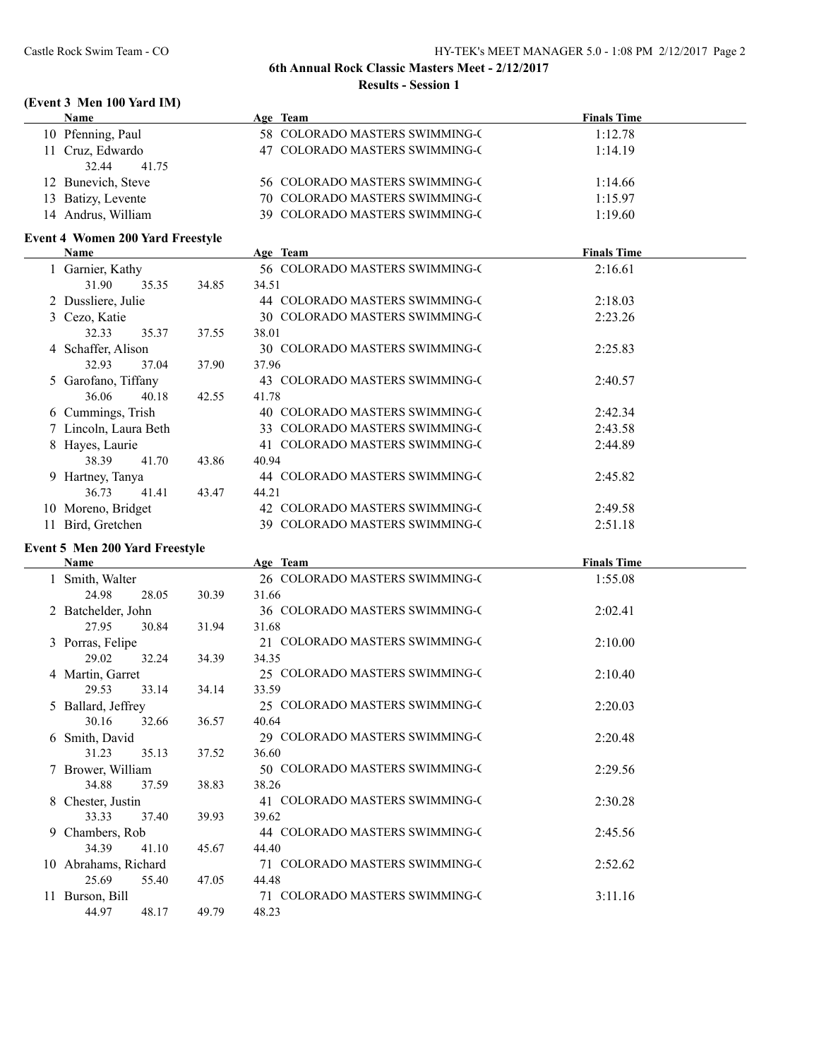## **(Event 3 Men 100 Yard IM)**

| <b>Name</b>                             |       | Age Team                       | <b>Finals Time</b> |
|-----------------------------------------|-------|--------------------------------|--------------------|
| 10 Pfenning, Paul                       |       | 58 COLORADO MASTERS SWIMMING-C | 1:12.78            |
| 11 Cruz, Edwardo                        |       | 47 COLORADO MASTERS SWIMMING-C | 1:14.19            |
| 32.44<br>41.75                          |       |                                |                    |
| 12 Bunevich, Steve                      |       | 56 COLORADO MASTERS SWIMMING-C | 1:14.66            |
| 13 Batizy, Levente                      |       | 70 COLORADO MASTERS SWIMMING-C | 1:15.97            |
| 14 Andrus, William                      |       | 39 COLORADO MASTERS SWIMMING-C | 1:19.60            |
| <b>Event 4 Women 200 Yard Freestyle</b> |       |                                |                    |
| <b>Name</b>                             |       | Age Team                       | <b>Finals Time</b> |
| 1 Garnier, Kathy                        |       | 56 COLORADO MASTERS SWIMMING-C | 2:16.61            |
| 31.90<br>35.35                          | 34.85 | 34.51                          |                    |
| 2 Dussliere, Julie                      |       | 44 COLORADO MASTERS SWIMMING-C | 2:18.03            |
| 3 Cezo, Katie                           |       | 30 COLORADO MASTERS SWIMMING-C | 2:23.26            |
| 32.33<br>35.37                          | 37.55 | 38.01                          |                    |
| 4 Schaffer, Alison                      |       | 30 COLORADO MASTERS SWIMMING-C | 2:25.83            |
| 32.93<br>37.04                          | 37.90 | 37.96                          |                    |
| 5 Garofano, Tiffany                     |       | 43 COLORADO MASTERS SWIMMING-C | 2:40.57            |
| 36.06<br>40.18                          | 42.55 | 41.78                          |                    |
| 6 Cummings, Trish                       |       | 40 COLORADO MASTERS SWIMMING-C | 2:42.34            |
| 7 Lincoln, Laura Beth                   |       | 33 COLORADO MASTERS SWIMMING-C | 2:43.58            |
| 8 Hayes, Laurie                         |       | 41 COLORADO MASTERS SWIMMING-C | 2:44.89            |
| 38.39<br>41.70                          | 43.86 | 40.94                          |                    |
| 9 Hartney, Tanya                        |       | 44 COLORADO MASTERS SWIMMING-C | 2:45.82            |
| 36.73<br>41.41                          | 43.47 | 44.21                          |                    |
| 10 Moreno, Bridget                      |       | 42 COLORADO MASTERS SWIMMING-C | 2:49.58            |
| 11 Bird, Gretchen                       |       | 39 COLORADO MASTERS SWIMMING-C | 2:51.18            |
| Event 5 Men 200 Yard Freestyle          |       |                                |                    |
| <b>Name</b>                             |       | Age Team                       | <b>Finals Time</b> |
| 1 Smith, Walter                         |       | 26 COLORADO MASTERS SWIMMING-C | 1:55.08            |
| 24.98<br>28.05                          | 30.39 | 31.66                          |                    |
| 2 Batchelder, John                      |       | 36 COLORADO MASTERS SWIMMING-C | 2:02.41            |
| 27.95<br>30.84                          | 31.94 | 31.68                          |                    |
| 3 Porras, Felipe                        |       | 21 COLORADO MASTERS SWIMMING-C | 2:10.00            |
| 29.02<br>32.24                          | 34.39 | 34.35                          |                    |

4 Martin, Garret 25 COLORADO MASTERS SWIMMING-C 2:10.40

5 Ballard, Jeffrey 25 COLORADO MASTERS SWIMMING-C 2:20.03

6 Smith, David 29 COLORADO MASTERS SWIMMING-C 2:20.48

7 Brower, William 50 COLORADO MASTERS SWIMMING-C 2:29.56

8 Chester, Justin 41 COLORADO MASTERS SWIMMING-C 2:30.28

9 Chambers, Rob 44 COLORADO MASTERS SWIMMING-C 2:45.56

10 Abrahams, Richard 71 COLORADO MASTERS SWIMMING-C 2:52.62

11 Burson, Bill 71 COLORADO MASTERS SWIMMING-C 3:11.16

29.53 33.14 34.14 33.59

30.16 32.66 36.57 40.64

31.23 35.13 37.52 36.60

34.88 37.59 38.83 38.26

33.33 37.40 39.93 39.62

34.39 41.10 45.67 44.40

25.69 55.40 47.05 44.48

44.97 48.17 49.79 48.23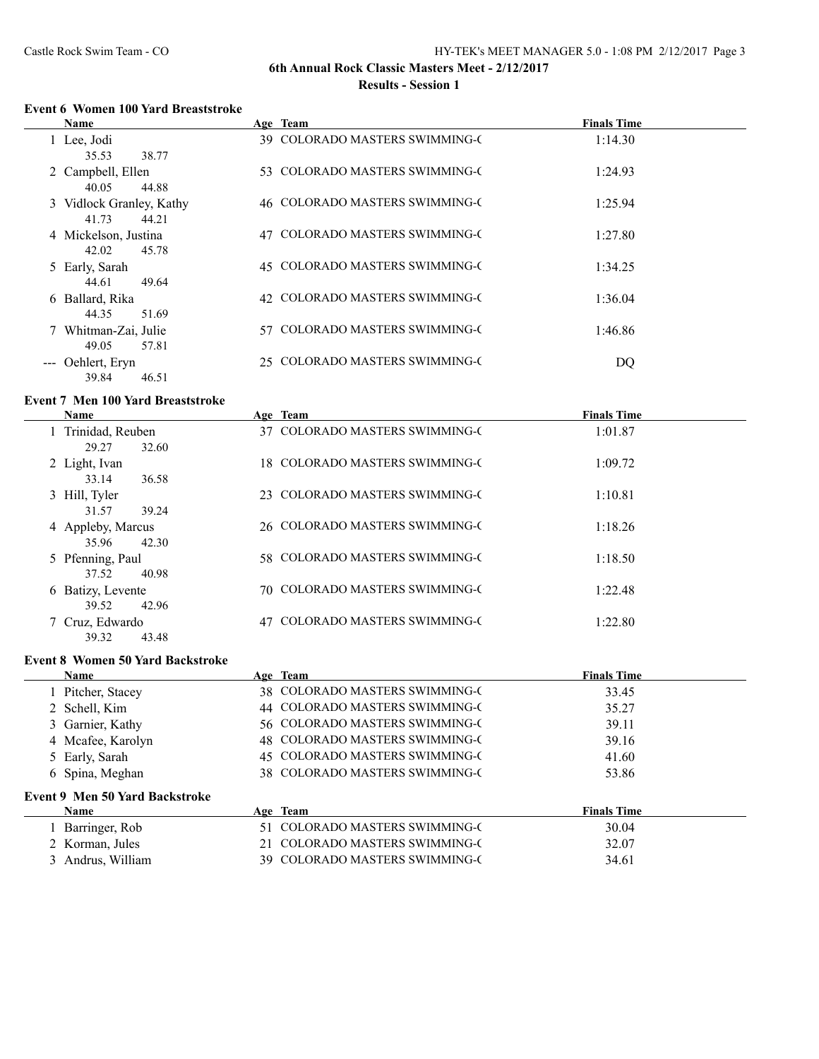## **Event 6 Women 100 Yard Breaststroke**

| <b>Name</b>              |    | Age Team                           | <b>Finals Time</b> |
|--------------------------|----|------------------------------------|--------------------|
| 1 Lee, Jodi              |    | 39 COLORADO MASTERS SWIMMING-C     | 1:14.30            |
| 38.77<br>35.53           |    |                                    |                    |
| 2 Campbell, Ellen        |    | 53 COLORADO MASTERS SWIMMING-C     | 1:24.93            |
| 40.05<br>44.88           |    |                                    |                    |
| 3 Vidlock Granley, Kathy |    | 46 COLORADO MASTERS SWIMMING-C     | 1:25.94            |
| 41.73<br>44.21           |    |                                    |                    |
| 4 Mickelson, Justina     | 47 | <b>COLORADO MASTERS SWIMMING-C</b> | 1:27.80            |
| 45.78<br>42.02           |    |                                    |                    |
| 5 Early, Sarah           |    | 45 COLORADO MASTERS SWIMMING-C     | 1:34.25            |
| 44.61<br>49.64           |    |                                    |                    |
| 6 Ballard, Rika          |    | 42 COLORADO MASTERS SWIMMING-C     | 1:36.04            |
| 51.69<br>44.35           |    |                                    |                    |
| 7 Whitman-Zai, Julie     |    | 57 COLORADO MASTERS SWIMMING-C     | 1:46.86            |
| 49.05<br>57.81           |    |                                    |                    |
| --- Oehlert, Eryn        |    | 25 COLORADO MASTERS SWIMMING-C     | DQ                 |
| 39.84<br>46.51           |    |                                    |                    |

## **Event 7 Men 100 Yard Breaststroke**

| Name                                 |    | Age Team                           | <b>Finals Time</b> |
|--------------------------------------|----|------------------------------------|--------------------|
| 1 Trinidad, Reuben<br>32.60<br>29.27 |    | 37 COLORADO MASTERS SWIMMING-C     | 1:01.87            |
| 2 Light, Ivan<br>33.14<br>36.58      |    | 18 COLORADO MASTERS SWIMMING-C     | 1:09.72            |
| 3 Hill, Tyler<br>31.57<br>39.24      |    | 23 COLORADO MASTERS SWIMMING-C     | 1:10.81            |
| 4 Appleby, Marcus<br>35.96<br>42.30  |    | 26 COLORADO MASTERS SWIMMING-C     | 1:18.26            |
| 5 Pfenning, Paul<br>37.52<br>40.98   |    | 58 COLORADO MASTERS SWIMMING-C     | 1:18.50            |
| 6 Batizy, Levente<br>42.96<br>39.52  |    | 70 COLORADO MASTERS SWIMMING-C     | 1:22.48            |
| 7 Cruz, Edwardo<br>39.32<br>43.48    | 47 | <b>COLORADO MASTERS SWIMMING-C</b> | 1:22.80            |

#### **Event 8 Women 50 Yard Backstroke**

| <b>Name</b>                           | Age Team                       | <b>Finals Time</b> |  |
|---------------------------------------|--------------------------------|--------------------|--|
| 1 Pitcher, Stacey                     | 38 COLORADO MASTERS SWIMMING-C | 33.45              |  |
| 2 Schell, Kim                         | 44 COLORADO MASTERS SWIMMING-C | 35.27              |  |
| 3 Garnier, Kathy                      | 56 COLORADO MASTERS SWIMMING-C | 39.11              |  |
| 4 Mcafee, Karolyn                     | 48 COLORADO MASTERS SWIMMING-C | 39.16              |  |
| 5 Early, Sarah                        | 45 COLORADO MASTERS SWIMMING-C | 41.60              |  |
| 6 Spina, Meghan                       | 38 COLORADO MASTERS SWIMMING-C | 53.86              |  |
| <b>Event 9 Men 50 Yard Backstroke</b> |                                |                    |  |
| <b>Name</b>                           | Age Team                       | <b>Finals Time</b> |  |
| 1 Barringer, Rob                      | COLORADO MASTERS SWIMMING-C    | 30.04              |  |
| 2 Korman, Jules                       | COLORADO MASTERS SWIMMING-C    | 32.07              |  |
| 3 Andrus, William                     | 39 COLORADO MASTERS SWIMMING-C | 34.61              |  |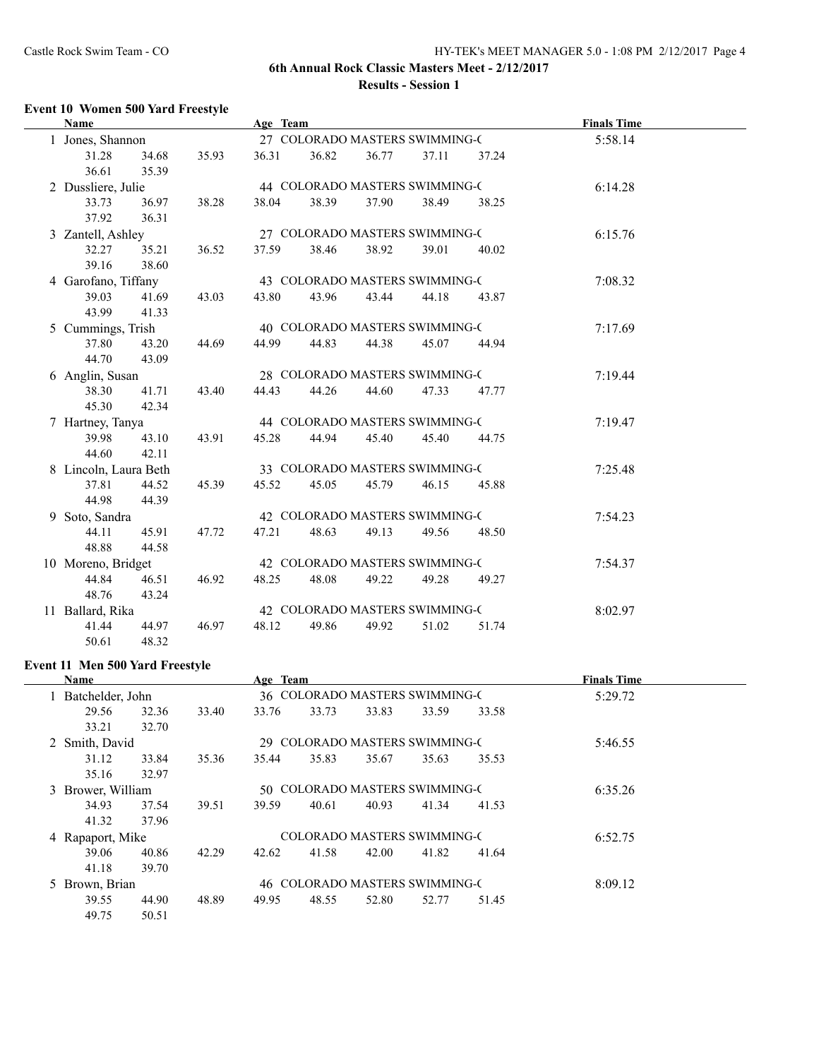i.

## **6th Annual Rock Classic Masters Meet - 2/12/2017 Results - Session 1**

## **Event 10 Women 500 Yard Freestyle**

| <b>Name</b>           |                |       | Age Team |       |       |                                |       | <b>Finals Time</b> |  |
|-----------------------|----------------|-------|----------|-------|-------|--------------------------------|-------|--------------------|--|
| 1 Jones, Shannon      |                |       |          |       |       | 27 COLORADO MASTERS SWIMMING-C |       | 5:58.14            |  |
| 31.28<br>36.61        | 34.68<br>35.39 | 35.93 | 36.31    | 36.82 | 36.77 | 37.11                          | 37.24 |                    |  |
| 2 Dussliere, Julie    |                |       |          |       |       | 44 COLORADO MASTERS SWIMMING-C |       | 6:14.28            |  |
| 33.73<br>37.92        | 36.97<br>36.31 | 38.28 | 38.04    | 38.39 | 37.90 | 38.49                          | 38.25 |                    |  |
| 3 Zantell, Ashley     |                |       |          |       |       | 27 COLORADO MASTERS SWIMMING-C |       | 6:15.76            |  |
| 32.27<br>39.16        | 35.21<br>38.60 | 36.52 | 37.59    | 38.46 | 38.92 | 39.01                          | 40.02 |                    |  |
| 4 Garofano, Tiffany   |                |       |          |       |       | 43 COLORADO MASTERS SWIMMING-C |       | 7:08.32            |  |
| 39.03<br>43.99        | 41.69<br>41.33 | 43.03 | 43.80    | 43.96 | 43.44 | 44.18                          | 43.87 |                    |  |
| 5 Cummings, Trish     |                |       |          |       |       | 40 COLORADO MASTERS SWIMMING-C |       | 7:17.69            |  |
| 37.80<br>44.70        | 43.20<br>43.09 | 44.69 | 44.99    | 44.83 | 44.38 | 45.07                          | 44.94 |                    |  |
| 6 Anglin, Susan       |                |       |          |       |       | 28 COLORADO MASTERS SWIMMING-C |       | 7:19.44            |  |
| 38.30<br>45.30        | 41.71<br>42.34 | 43.40 | 44.43    | 44.26 | 44.60 | 47.33                          | 47.77 |                    |  |
| 7 Hartney, Tanya      |                |       |          |       |       | 44 COLORADO MASTERS SWIMMING-C |       | 7:19.47            |  |
| 39.98<br>44.60        | 43.10<br>42.11 | 43.91 | 45.28    | 44.94 | 45.40 | 45.40                          | 44.75 |                    |  |
| 8 Lincoln, Laura Beth |                |       |          |       |       | 33 COLORADO MASTERS SWIMMING-C |       | 7:25.48            |  |
| 37.81<br>44.98        | 44.52<br>44.39 | 45.39 | 45.52    | 45.05 | 45.79 | 46.15                          | 45.88 |                    |  |
| 9 Soto, Sandra        |                |       |          |       |       | 42 COLORADO MASTERS SWIMMING-C |       | 7:54.23            |  |
| 44.11<br>48.88        | 45.91<br>44.58 | 47.72 | 47.21    | 48.63 | 49.13 | 49.56                          | 48.50 |                    |  |
| 10 Moreno, Bridget    |                |       |          |       |       | 42 COLORADO MASTERS SWIMMING-C |       | 7:54.37            |  |
| 44.84<br>48.76        | 46.51<br>43.24 | 46.92 | 48.25    | 48.08 | 49.22 | 49.28                          | 49.27 |                    |  |
| 11 Ballard, Rika      |                |       |          |       |       | 42 COLORADO MASTERS SWIMMING-C |       | 8:02.97            |  |
| 41.44<br>50.61        | 44.97<br>48.32 | 46.97 | 48.12    | 49.86 | 49.92 | 51.02                          | 51.74 |                    |  |

## **Event 11 Men 500 Yard Freestyle**

 $\overline{a}$ 

| <b>Name</b>       |       |       | Age Team |       |                                    |       |         | <b>Finals Time</b> |  |
|-------------------|-------|-------|----------|-------|------------------------------------|-------|---------|--------------------|--|
| Batchelder, John  |       |       |          |       | 36 COLORADO MASTERS SWIMMING-C     |       |         | 5:29.72            |  |
| 29.56             | 32.36 | 33.40 | 33.76    | 33.73 | 33.83                              | 33.59 | 33.58   |                    |  |
| 33.21             | 32.70 |       |          |       |                                    |       |         |                    |  |
| 2 Smith, David    |       |       |          |       | 29 COLORADO MASTERS SWIMMING-C     |       |         | 5:46.55            |  |
| 31.12             | 33.84 | 35.36 | 35.44    | 35.83 | 35.67                              | 35.63 | 35.53   |                    |  |
| 35.16             | 32.97 |       |          |       |                                    |       |         |                    |  |
| 3 Brower, William |       |       |          |       | 50 COLORADO MASTERS SWIMMING-C     |       | 6:35.26 |                    |  |
| 34.93             | 37.54 | 39.51 | 39.59    | 40.61 | 40.93                              | 41.34 | 41.53   |                    |  |
| 41.32             | 37.96 |       |          |       |                                    |       |         |                    |  |
| 4 Rapaport, Mike  |       |       |          |       | <b>COLORADO MASTERS SWIMMING-C</b> |       |         | 6:52.75            |  |
| 39.06             | 40.86 | 42.29 | 42.62    | 41.58 | 42.00                              | 41.82 | 41.64   |                    |  |
| 41.18             | 39.70 |       |          |       |                                    |       |         |                    |  |
| 5 Brown, Brian    |       |       |          |       | 46 COLORADO MASTERS SWIMMING-C     |       |         | 8:09.12            |  |
| 39.55             | 44.90 | 48.89 | 49.95    | 48.55 | 52.80                              | 52.77 | 51.45   |                    |  |
| 49.75             | 50.51 |       |          |       |                                    |       |         |                    |  |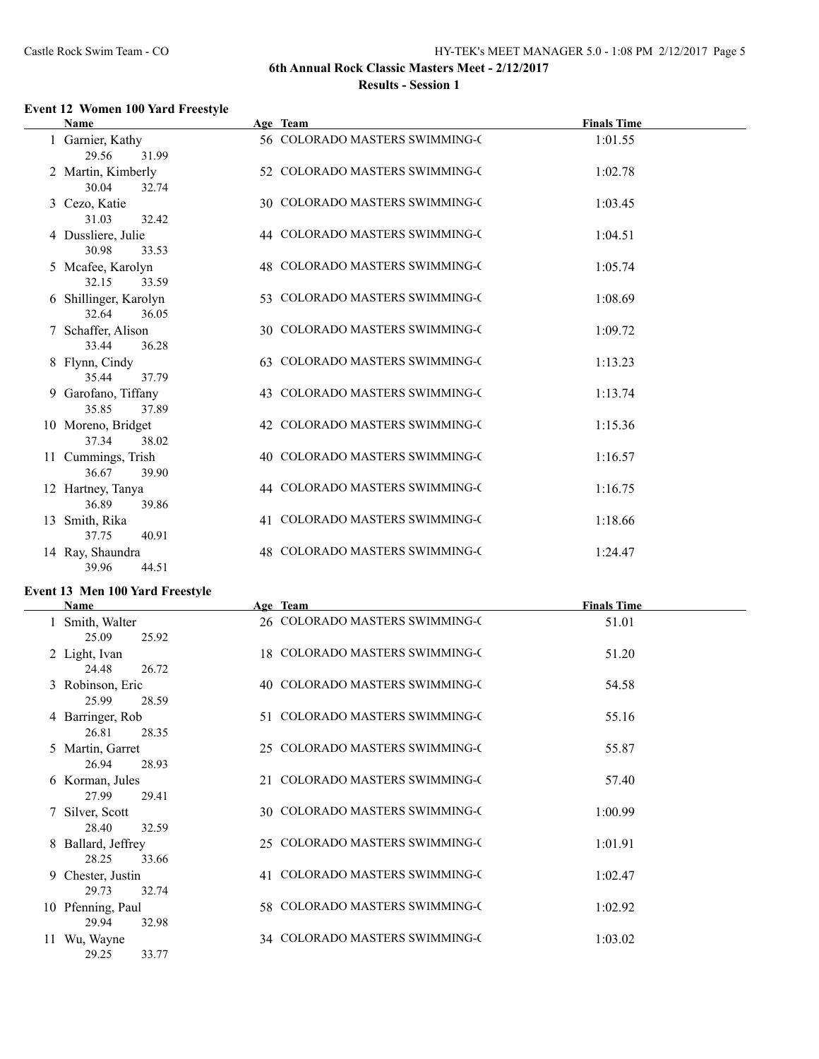## **Event 12 Women 100 Yard Freestyle**

| <b>Name</b>                             |     | Age Team                           | <b>Finals Time</b> |
|-----------------------------------------|-----|------------------------------------|--------------------|
| 1 Garnier, Kathy<br>29.56<br>31.99      |     | 56 COLORADO MASTERS SWIMMING-C     | 1:01.55            |
| 2 Martin, Kimberly<br>30.04<br>32.74    |     | 52 COLORADO MASTERS SWIMMING-C     | 1:02.78            |
| 3 Cezo, Katie<br>31.03<br>32.42         |     | 30 COLORADO MASTERS SWIMMING-C     | 1:03.45            |
| 4 Dussliere, Julie<br>30.98<br>33.53    |     | 44 COLORADO MASTERS SWIMMING-C     | 1:04.51            |
| 5 Mcafee, Karolyn<br>32.15<br>33.59     |     | 48 COLORADO MASTERS SWIMMING-C     | 1:05.74            |
| 6 Shillinger, Karolyn<br>32.64<br>36.05 |     | 53 COLORADO MASTERS SWIMMING-C     | 1:08.69            |
| 7 Schaffer, Alison<br>33.44<br>36.28    |     | 30 COLORADO MASTERS SWIMMING-C     | 1:09.72            |
| 8 Flynn, Cindy<br>35.44<br>37.79        | 63. | <b>COLORADO MASTERS SWIMMING-C</b> | 1:13.23            |
| 9 Garofano, Tiffany<br>35.85<br>37.89   |     | 43 COLORADO MASTERS SWIMMING-C     | 1:13.74            |
| 10 Moreno, Bridget<br>37.34<br>38.02    |     | 42 COLORADO MASTERS SWIMMING-C     | 1:15.36            |
| 11 Cummings, Trish<br>36.67<br>39.90    |     | 40 COLORADO MASTERS SWIMMING-C     | 1:16.57            |
| 12 Hartney, Tanya<br>36.89<br>39.86     |     | 44 COLORADO MASTERS SWIMMING-C     | 1:16.75            |
| 13 Smith, Rika<br>37.75<br>40.91        | 41  | <b>COLORADO MASTERS SWIMMING-C</b> | 1:18.66            |
| 14 Ray, Shaundra<br>39.96<br>44.51      | 48  | <b>COLORADO MASTERS SWIMMING-C</b> | 1:24.47            |

## **Event 13 Men 100 Yard Freestyle**

| <b>Name</b>                          |     | Age Team                           | <b>Finals Time</b> |
|--------------------------------------|-----|------------------------------------|--------------------|
| 1 Smith, Walter<br>25.09<br>25.92    |     | 26 COLORADO MASTERS SWIMMING-C     | 51.01              |
| 2 Light, Ivan<br>24.48<br>26.72      |     | 18 COLORADO MASTERS SWIMMING-C     | 51.20              |
| 3 Robinson, Eric<br>25.99<br>28.59   |     | 40 COLORADO MASTERS SWIMMING-C     | 54.58              |
| 4 Barringer, Rob<br>26.81<br>28.35   |     | 51 COLORADO MASTERS SWIMMING-C     | 55.16              |
| 5 Martin, Garret<br>26.94<br>28.93   |     | 25 COLORADO MASTERS SWIMMING-C     | 55.87              |
| 6 Korman, Jules<br>27.99<br>29.41    | 21  | COLORADO MASTERS SWIMMING-C        | 57.40              |
| 7 Silver, Scott<br>28.40<br>32.59    |     | 30 COLORADO MASTERS SWIMMING-C     | 1:00.99            |
| 8 Ballard, Jeffrey<br>28.25<br>33.66 | 25. | COLORADO MASTERS SWIMMING-C        | 1:01.91            |
| 9 Chester, Justin<br>29.73<br>32.74  | 41  | <b>COLORADO MASTERS SWIMMING-C</b> | 1:02.47            |
| 10 Pfenning, Paul<br>29.94<br>32.98  |     | 58 COLORADO MASTERS SWIMMING-C     | 1:02.92            |
| Wu, Wayne<br>29.25<br>33.77          |     | 34 COLORADO MASTERS SWIMMING-C     | 1:03.02            |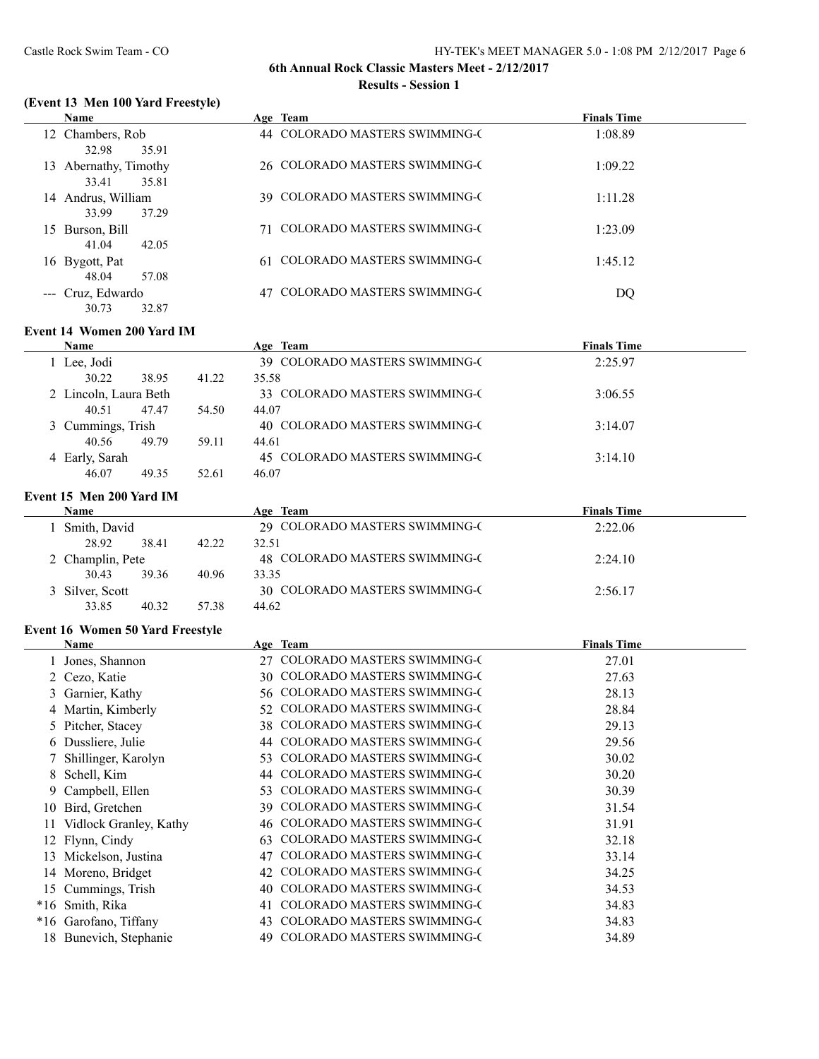## **(Event 13 Men 100 Yard Freestyle)**

|    | <b>Name</b>                          | Age Team                           | <b>Finals Time</b> |
|----|--------------------------------------|------------------------------------|--------------------|
|    | 12 Chambers, Rob<br>32.98<br>35.91   | 44 COLORADO MASTERS SWIMMING-C     | 1:08.89            |
| 13 | Abernathy, Timothy<br>35.81<br>33.41 | 26 COLORADO MASTERS SWIMMING-C     | 1:09.22            |
| 14 | Andrus, William<br>37.29<br>33.99    | 39 COLORADO MASTERS SWIMMING-C     | 1:11.28            |
|    | 15 Burson, Bill<br>41.04<br>42.05    | <b>COLORADO MASTERS SWIMMING-C</b> | 1:23.09            |
|    | 16 Bygott, Pat<br>48.04<br>57.08     | 61 COLORADO MASTERS SWIMMING-C     | 1:45.12            |
|    | --- Cruz, Edwardo<br>30.73<br>32.87  | COLORADO MASTERS SWIMMING-C        | DQ                 |

## **Event 14 Women 200 Yard IM**

| <b>Name</b>           |       |       | Age Team                       | <b>Finals Time</b> |
|-----------------------|-------|-------|--------------------------------|--------------------|
| 1 Lee, Jodi           |       |       | 39 COLORADO MASTERS SWIMMING-C | 2:25.97            |
| 30.22                 | 38.95 | 41.22 | 35.58                          |                    |
| 2 Lincoln, Laura Beth |       |       | 33 COLORADO MASTERS SWIMMING-C | 3:06.55            |
| 40.51                 | 47.47 | 54.50 | 44.07                          |                    |
| 3 Cummings, Trish     |       |       | 40 COLORADO MASTERS SWIMMING-C | 3:14.07            |
| 40.56                 | 49.79 | 59.11 | 44.61                          |                    |
| 4 Early, Sarah        |       |       | 45 COLORADO MASTERS SWIMMING-C | 3:14.10            |
| 46.07                 | 49.35 | 52.61 | 46.07                          |                    |

#### **Event 15 Men 200 Yard IM**

| <b>Name</b>      |       |       | Age Team                       | <b>Finals Time</b> |  |
|------------------|-------|-------|--------------------------------|--------------------|--|
| Smith, David     |       |       | 29 COLORADO MASTERS SWIMMING-C | 2:22.06            |  |
| 28.92            | 38.41 | 42.22 | 32.51                          |                    |  |
| 2 Champlin, Pete |       |       | 48 COLORADO MASTERS SWIMMING-C | 2:24.10            |  |
| 30.43            | 39.36 | 40.96 | 33.35                          |                    |  |
| 3 Silver, Scott  |       |       | 30 COLORADO MASTERS SWIMMING-C | 2:56.17            |  |
| 33.85            | 40.32 | 57.38 | 44.62                          |                    |  |

#### **Event 16 Women 50 Yard Freestyle**

|    | Name                   |     | Age Team                           | <b>Finals Time</b> |  |
|----|------------------------|-----|------------------------------------|--------------------|--|
|    | Jones, Shannon         | 27  | <b>COLORADO MASTERS SWIMMING-C</b> | 27.01              |  |
|    | 2 Cezo, Katie          | 30  | <b>COLORADO MASTERS SWIMMING-C</b> | 27.63              |  |
|    | 3 Garnier, Kathy       | 56  | <b>COLORADO MASTERS SWIMMING-C</b> | 28.13              |  |
|    | 4 Martin, Kimberly     | 52  | <b>COLORADO MASTERS SWIMMING-C</b> | 28.84              |  |
|    | 5 Pitcher, Stacey      | 38  | <b>COLORADO MASTERS SWIMMING-C</b> | 29.13              |  |
|    | 6 Dussliere, Julie     |     | <b>COLORADO MASTERS SWIMMING-C</b> | 29.56              |  |
|    | 7 Shillinger, Karolyn  | 53  | <b>COLORADO MASTERS SWIMMING-C</b> | 30.02              |  |
| 8. | Schell, Kim            |     | <b>COLORADO MASTERS SWIMMING-C</b> | 30.20              |  |
|    | 9 Campbell, Ellen      | 53  | <b>COLORADO MASTERS SWIMMING-C</b> | 30.39              |  |
| 10 | Bird, Gretchen         | 39. | <b>COLORADO MASTERS SWIMMING-C</b> | 31.54              |  |
| 11 | Vidlock Granley, Kathy | 46  | <b>COLORADO MASTERS SWIMMING-C</b> | 31.91              |  |
|    | 12 Flynn, Cindy        | 63  | <b>COLORADO MASTERS SWIMMING-C</b> | 32.18              |  |
| 13 | Mickelson, Justina     | 47  | COLORADO MASTERS SWIMMING-C        | 33.14              |  |
|    | 14 Moreno, Bridget     | 42  | <b>COLORADO MASTERS SWIMMING-C</b> | 34.25              |  |
| 15 | Cummings, Trish        | 40  | <b>COLORADO MASTERS SWIMMING-C</b> | 34.53              |  |
|    | *16 Smith, Rika        | 41  | <b>COLORADO MASTERS SWIMMING-C</b> | 34.83              |  |
|    | *16 Garofano, Tiffany  | 43  | <b>COLORADO MASTERS SWIMMING-C</b> | 34.83              |  |
|    | 18 Bunevich, Stephanie | 49. | <b>COLORADO MASTERS SWIMMING-C</b> | 34.89              |  |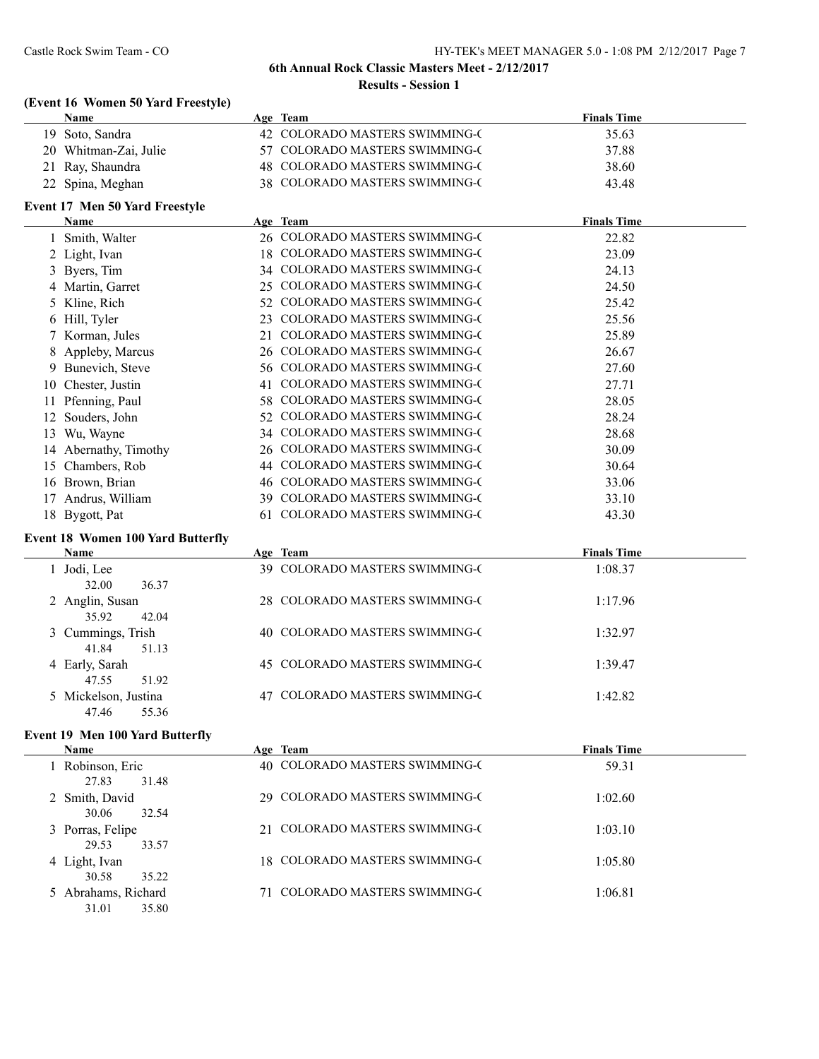## **(Event 16 Women 50 Yard Freestyle)**

| Name                  | Age Team                       | <b>Finals Time</b> |  |
|-----------------------|--------------------------------|--------------------|--|
| 19 Soto, Sandra       | 42 COLORADO MASTERS SWIMMING-C | 35.63              |  |
| 20 Whitman-Zai, Julie | 57 COLORADO MASTERS SWIMMING-C | 37.88              |  |
| 21 Ray, Shaundra      | 48 COLORADO MASTERS SWIMMING-C | 38.60              |  |
| 22 Spina, Meghan      | 38 COLORADO MASTERS SWIMMING-C | 43.48              |  |

## **Event 17 Men 50 Yard Freestyle**

|    | <b>Name</b>           |     | Age Team                           | <b>Finals Time</b> |
|----|-----------------------|-----|------------------------------------|--------------------|
|    | 1 Smith, Walter       |     | 26 COLORADO MASTERS SWIMMING-C     | 22.82              |
|    | 2 Light, Ivan         | 18  | <b>COLORADO MASTERS SWIMMING-C</b> | 23.09              |
|    | 3 Byers, Tim          | 34  | <b>COLORADO MASTERS SWIMMING-C</b> | 24.13              |
|    | 4 Martin, Garret      | 25  | <b>COLORADO MASTERS SWIMMING-C</b> | 24.50              |
|    | 5 Kline, Rich         | 52  | <b>COLORADO MASTERS SWIMMING-C</b> | 25.42              |
|    | 6 Hill, Tyler         | 23  | <b>COLORADO MASTERS SWIMMING-C</b> | 25.56              |
|    | 7 Korman, Jules       | 21  | <b>COLORADO MASTERS SWIMMING-C</b> | 25.89              |
|    | 8 Appleby, Marcus     |     | 26 COLORADO MASTERS SWIMMING-C     | 26.67              |
|    | 9 Bunevich, Steve     | 56. | <b>COLORADO MASTERS SWIMMING-C</b> | 27.60              |
|    | 10 Chester, Justin    | 41  | <b>COLORADO MASTERS SWIMMING-C</b> | 27.71              |
|    | Pfenning, Paul        | 58. | <b>COLORADO MASTERS SWIMMING-C</b> | 28.05              |
|    | Souders, John         | 52. | <b>COLORADO MASTERS SWIMMING-C</b> | 28.24              |
| 13 | Wu, Wayne             | 34  | <b>COLORADO MASTERS SWIMMING-C</b> | 28.68              |
|    | 14 Abernathy, Timothy | 26  | <b>COLORADO MASTERS SWIMMING-C</b> | 30.09              |
| 15 | Chambers, Rob         | 44  | <b>COLORADO MASTERS SWIMMING-C</b> | 30.64              |
|    | 16 Brown, Brian       | 46  | <b>COLORADO MASTERS SWIMMING-C</b> | 33.06              |
|    | Andrus, William       | 39. | <b>COLORADO MASTERS SWIMMING-C</b> | 33.10              |
|    | 18 Bygott, Pat        | 61  | <b>COLORADO MASTERS SWIMMING-C</b> | 43.30              |

## **Event 18 Women 100 Yard Butterfly**

| Name                 | Age Team                       | <b>Finals Time</b> |  |
|----------------------|--------------------------------|--------------------|--|
| Jodi, Lee            | 39 COLORADO MASTERS SWIMMING-C | 1:08.37            |  |
| 32.00<br>36.37       |                                |                    |  |
| 2 Anglin, Susan      | 28 COLORADO MASTERS SWIMMING-C | 1:17.96            |  |
| 35.92<br>42.04       |                                |                    |  |
| 3 Cummings, Trish    | 40 COLORADO MASTERS SWIMMING-C | 1:32.97            |  |
| 41.84<br>51.13       |                                |                    |  |
| 4 Early, Sarah       | 45 COLORADO MASTERS SWIMMING-C | 1:39.47            |  |
| 47.55<br>51.92       |                                |                    |  |
| 5 Mickelson, Justina | 47 COLORADO MASTERS SWIMMING-C | 1:42.82            |  |
| 47.46<br>55.36       |                                |                    |  |

## **Event 19 Men 100 Yard Butterfly**

| <b>Name</b>                           | Age Team                           | <b>Finals Time</b> |
|---------------------------------------|------------------------------------|--------------------|
| 1 Robinson, Eric<br>27.83<br>31.48    | 40 COLORADO MASTERS SWIMMING-C     | 59.31              |
| 2 Smith, David<br>30.06<br>32.54      | 29 COLORADO MASTERS SWIMMING-C     | 1:02.60            |
| 3 Porras, Felipe<br>33.57<br>29.53    | 21 COLORADO MASTERS SWIMMING-C     | 1:03.10            |
| 4 Light, Ivan<br>30.58<br>35.22       | 18 COLORADO MASTERS SWIMMING-C     | 1:05.80            |
| 5 Abrahams, Richard<br>35.80<br>31.01 | <b>COLORADO MASTERS SWIMMING-C</b> | 1:06.81            |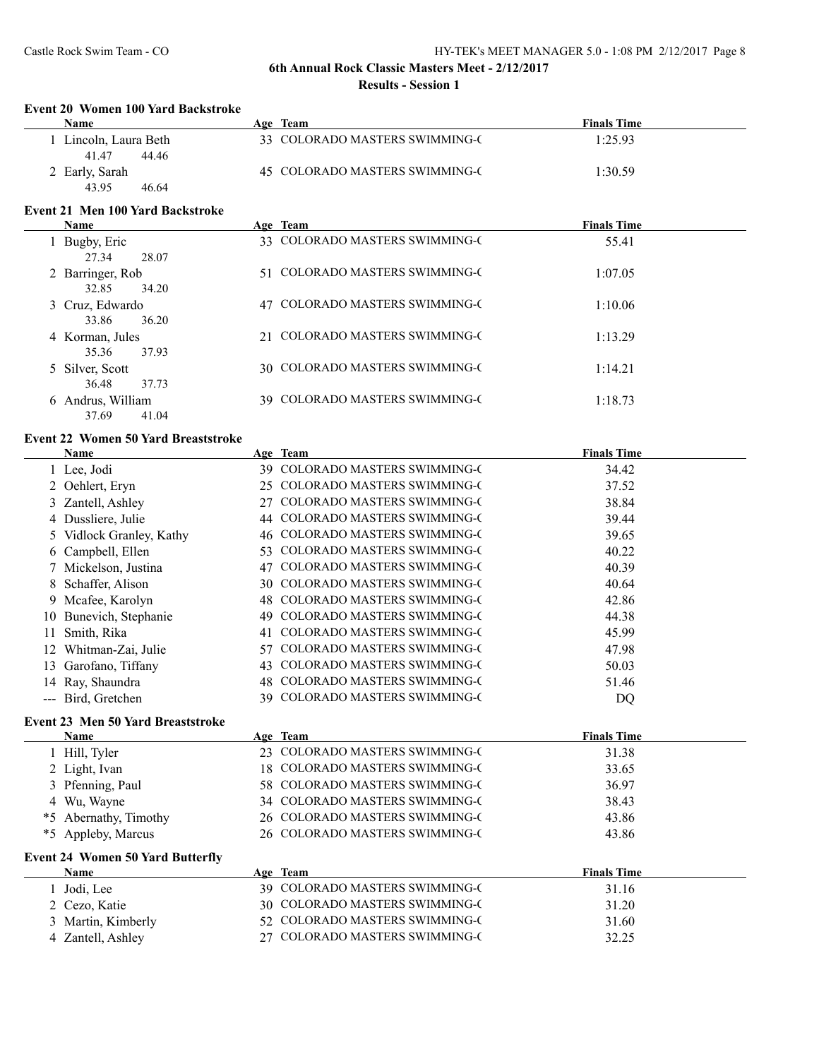#### **Event 20 Women 100 Yard Backstroke**

| Name                | Age Team                       | <b>Finals Time</b> |
|---------------------|--------------------------------|--------------------|
| Lincoln, Laura Beth | 33 COLORADO MASTERS SWIMMING-C | 1:25.93            |
| 41.47<br>44.46      |                                |                    |
| 2 Early, Sarah      | 45 COLORADO MASTERS SWIMMING-C | 1:30.59            |
| 43.95<br>46.64      |                                |                    |

#### **Event 21 Men 100 Yard Backstroke**

| <b>Name</b>       | Age Team                       | <b>Finals Time</b> |
|-------------------|--------------------------------|--------------------|
| Bugby, Eric       | 33 COLORADO MASTERS SWIMMING-C | 55.41              |
| 27.34<br>28.07    |                                |                    |
| 2 Barringer, Rob  | 51 COLORADO MASTERS SWIMMING-C | 1:07.05            |
| 32.85<br>34.20    |                                |                    |
| 3 Cruz, Edwardo   | 47 COLORADO MASTERS SWIMMING-C | 1:10.06            |
| 36.20<br>33.86    |                                |                    |
| 4 Korman, Jules   | 21 COLORADO MASTERS SWIMMING-C | 1:13.29            |
| 37.93<br>35.36    |                                |                    |
| 5 Silver, Scott   | 30 COLORADO MASTERS SWIMMING-C | 1:14.21            |
| 37.73<br>36.48    |                                |                    |
| 6 Andrus, William | 39 COLORADO MASTERS SWIMMING-C | 1:18.73            |
| 37.69<br>41.04    |                                |                    |

#### **Event 22 Women 50 Yard Breaststroke**

|    | Name                                     |     | Age Team                           | <b>Finals Time</b> |  |
|----|------------------------------------------|-----|------------------------------------|--------------------|--|
|    | 1 Lee, Jodi                              | 39. | <b>COLORADO MASTERS SWIMMING-C</b> | 34.42              |  |
|    | 2 Oehlert, Eryn                          | 25  | <b>COLORADO MASTERS SWIMMING-C</b> | 37.52              |  |
|    | 3 Zantell, Ashley                        |     | <b>COLORADO MASTERS SWIMMING-C</b> | 38.84              |  |
|    | 4 Dussliere, Julie                       | 44  | <b>COLORADO MASTERS SWIMMING-C</b> | 39.44              |  |
|    | 5 Vidlock Granley, Kathy                 |     | 46 COLORADO MASTERS SWIMMING-C     | 39.65              |  |
|    | 6 Campbell, Ellen                        | 53. | <b>COLORADO MASTERS SWIMMING-C</b> | 40.22              |  |
|    | 7 Mickelson, Justina                     | 47  | <b>COLORADO MASTERS SWIMMING-C</b> | 40.39              |  |
|    | 8 Schaffer, Alison                       |     | 30 COLORADO MASTERS SWIMMING-C     | 40.64              |  |
|    | 9 Mcafee, Karolyn                        | 48  | <b>COLORADO MASTERS SWIMMING-C</b> | 42.86              |  |
| 10 | Bunevich, Stephanie                      | 49  | <b>COLORADO MASTERS SWIMMING-C</b> | 44.38              |  |
| 11 | Smith, Rika                              | 41  | <b>COLORADO MASTERS SWIMMING-C</b> | 45.99              |  |
|    | Whitman-Zai, Julie                       | 57  | <b>COLORADO MASTERS SWIMMING-C</b> | 47.98              |  |
| 13 | Garofano, Tiffany                        | 43  | <b>COLORADO MASTERS SWIMMING-C</b> | 50.03              |  |
| 14 | Ray, Shaundra                            | 48  | <b>COLORADO MASTERS SWIMMING-C</b> | 51.46              |  |
|    | Bird, Gretchen                           | 39  | COLORADO MASTERS SWIMMING-C        | DQ                 |  |
|    | <b>Event 23 Men 50 Yard Breaststroke</b> |     |                                    |                    |  |
|    | <b>Name</b>                              |     | Age Team                           | <b>Finals Time</b> |  |
|    |                                          |     |                                    |                    |  |

| rvame                 | Age leam                       | rinais lime |  |
|-----------------------|--------------------------------|-------------|--|
| Hill, Tyler           | 23 COLORADO MASTERS SWIMMING-C | 31.38       |  |
| 2 Light, Ivan         | 18 COLORADO MASTERS SWIMMING-C | 33.65       |  |
| 3 Pfenning, Paul      | 58 COLORADO MASTERS SWIMMING-C | 36.97       |  |
| 4 Wu, Wayne           | 34 COLORADO MASTERS SWIMMING-C | 38.43       |  |
| *5 Abernathy, Timothy | 26 COLORADO MASTERS SWIMMING-C | 43.86       |  |
| *5 Appleby, Marcus    | 26 COLORADO MASTERS SWIMMING-C | 43.86       |  |
|                       |                                |             |  |

#### **Event 24 Women 50 Yard Butterfly**

| <b>Name</b>        | Age Team                       | <b>Finals Time</b> |  |
|--------------------|--------------------------------|--------------------|--|
| Jodi, Lee          | 39 COLORADO MASTERS SWIMMING-C | 31.16              |  |
| 2 Cezo, Katie      | 30 COLORADO MASTERS SWIMMING-C | 31.20              |  |
| 3 Martin, Kimberly | 52 COLORADO MASTERS SWIMMING-C | 31.60              |  |
| 4 Zantell, Ashley  | 27 COLORADO MASTERS SWIMMING-C | 32.25              |  |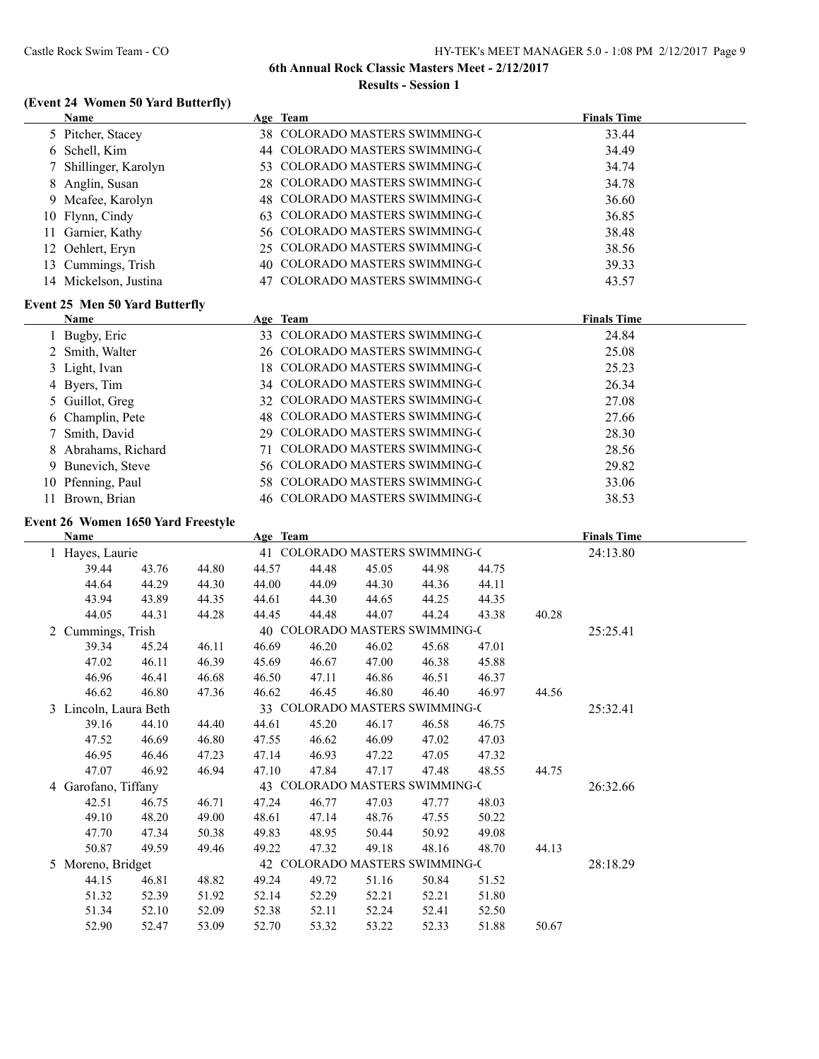## **(Event 24 Women 50 Yard Butterfly)**

| <b>Name</b>              | Age Team                       | <b>Finals Time</b> |
|--------------------------|--------------------------------|--------------------|
| 5 Pitcher, Stacey        | 38 COLORADO MASTERS SWIMMING-C | 33.44              |
| 6 Schell, Kim            | 44 COLORADO MASTERS SWIMMING-C | 34.49              |
| 7 Shillinger, Karolyn    | 53 COLORADO MASTERS SWIMMING-C | 34.74              |
| 8 Anglin, Susan          | 28 COLORADO MASTERS SWIMMING-C | 34.78              |
| 9 Mcafee, Karolyn        | 48 COLORADO MASTERS SWIMMING-C | 36.60              |
| 10 Flynn, Cindy          | 63 COLORADO MASTERS SWIMMING-C | 36.85              |
| 11 Garnier, Kathy        | 56 COLORADO MASTERS SWIMMING-C | 38.48              |
| 12 Oehlert, Eryn         | 25 COLORADO MASTERS SWIMMING-C | 38.56              |
| 13 Cummings, Trish       | 40 COLORADO MASTERS SWIMMING-C | 39.33              |
| Mickelson, Justina<br>14 | 47 COLORADO MASTERS SWIMMING-C | 43.57              |

## **Event 25 Men 50 Yard Butterfly**

| <b>Name</b>         | Age Team                       | <b>Finals Time</b> |
|---------------------|--------------------------------|--------------------|
| 1 Bugby, Eric       | 33 COLORADO MASTERS SWIMMING-C | 24.84              |
| 2 Smith, Walter     | 26 COLORADO MASTERS SWIMMING-C | 25.08              |
| 3 Light, Ivan       | 18 COLORADO MASTERS SWIMMING-C | 25.23              |
| 4 Byers, Tim        | 34 COLORADO MASTERS SWIMMING-C | 26.34              |
| 5 Guillot, Greg     | 32 COLORADO MASTERS SWIMMING-C | 27.08              |
| 6 Champlin, Pete    | 48 COLORADO MASTERS SWIMMING-C | 27.66              |
| 7 Smith, David      | 29 COLORADO MASTERS SWIMMING-C | 28.30              |
| 8 Abrahams, Richard | COLORADO MASTERS SWIMMING-C    | 28.56              |
| 9 Bunevich, Steve   | 56 COLORADO MASTERS SWIMMING-C | 29.82              |
| 10 Pfenning, Paul   | 58 COLORADO MASTERS SWIMMING-C | 33.06              |
| Brown, Brian        | 46 COLORADO MASTERS SWIMMING-C | 38.53              |

## **Event 26 Women 1650 Yard Freestyle**

|   | Name                                                    |       |       | Age Team                       |       |                                |       |       |          | <b>Finals Time</b> |  |
|---|---------------------------------------------------------|-------|-------|--------------------------------|-------|--------------------------------|-------|-------|----------|--------------------|--|
|   | Hayes, Laurie                                           |       |       | 41 COLORADO MASTERS SWIMMING-C |       |                                |       |       |          | 24:13.80           |  |
|   | 39.44                                                   | 43.76 | 44.80 | 44.57                          | 44.48 | 45.05                          | 44.98 | 44.75 |          |                    |  |
|   | 44.64                                                   | 44.29 | 44.30 | 44.00                          | 44.09 | 44.30                          | 44.36 | 44.11 |          |                    |  |
|   | 43.94                                                   | 43.89 | 44.35 | 44.61                          | 44.30 | 44.65                          | 44.25 | 44.35 |          |                    |  |
|   | 44.05                                                   | 44.31 | 44.28 | 44.45                          | 44.48 | 44.07                          | 44.24 | 43.38 | 40.28    |                    |  |
| 2 | Cummings, Trish                                         |       |       |                                |       | 40 COLORADO MASTERS SWIMMING-C |       |       |          | 25:25.41           |  |
|   | 39.34                                                   | 45.24 | 46.11 | 46.69                          | 46.20 | 46.02                          | 45.68 | 47.01 |          |                    |  |
|   | 47.02                                                   | 46.11 | 46.39 | 45.69                          | 46.67 | 47.00                          | 46.38 | 45.88 |          |                    |  |
|   | 46.96                                                   | 46.41 | 46.68 | 46.50                          | 47.11 | 46.86                          | 46.51 | 46.37 |          |                    |  |
|   | 46.62                                                   | 46.80 | 47.36 | 46.62                          | 46.45 | 46.80                          | 46.40 | 46.97 | 44.56    |                    |  |
|   | 33 COLORADO MASTERS SWIMMING-C<br>3 Lincoln, Laura Beth |       |       |                                |       |                                |       |       | 25:32.41 |                    |  |
|   | 39.16                                                   | 44.10 | 44.40 | 44.61                          | 45.20 | 46.17                          | 46.58 | 46.75 |          |                    |  |
|   | 47.52                                                   | 46.69 | 46.80 | 47.55                          | 46.62 | 46.09                          | 47.02 | 47.03 |          |                    |  |
|   | 46.95                                                   | 46.46 | 47.23 | 47.14                          | 46.93 | 47.22                          | 47.05 | 47.32 |          |                    |  |
|   | 47.07                                                   | 46.92 | 46.94 | 47.10                          | 47.84 | 47.17                          | 47.48 | 48.55 | 44.75    |                    |  |
|   | 43 COLORADO MASTERS SWIMMING-C<br>4 Garofano, Tiffany   |       |       |                                |       |                                |       |       | 26:32.66 |                    |  |
|   | 42.51                                                   | 46.75 | 46.71 | 47.24                          | 46.77 | 47.03                          | 47.77 | 48.03 |          |                    |  |
|   | 49.10                                                   | 48.20 | 49.00 | 48.61                          | 47.14 | 48.76                          | 47.55 | 50.22 |          |                    |  |
|   | 47.70                                                   | 47.34 | 50.38 | 49.83                          | 48.95 | 50.44                          | 50.92 | 49.08 |          |                    |  |
|   | 50.87                                                   | 49.59 | 49.46 | 49.22                          | 47.32 | 49.18                          | 48.16 | 48.70 | 44.13    |                    |  |
|   | 42 COLORADO MASTERS SWIMMING-C<br>5 Moreno, Bridget     |       |       |                                |       |                                |       |       | 28:18.29 |                    |  |
|   | 44.15                                                   | 46.81 | 48.82 | 49.24                          | 49.72 | 51.16                          | 50.84 | 51.52 |          |                    |  |
|   | 51.32                                                   | 52.39 | 51.92 | 52.14                          | 52.29 | 52.21                          | 52.21 | 51.80 |          |                    |  |
|   | 51.34                                                   | 52.10 | 52.09 | 52.38                          | 52.11 | 52.24                          | 52.41 | 52.50 |          |                    |  |
|   | 52.90                                                   | 52.47 | 53.09 | 52.70                          | 53.32 | 53.22                          | 52.33 | 51.88 | 50.67    |                    |  |